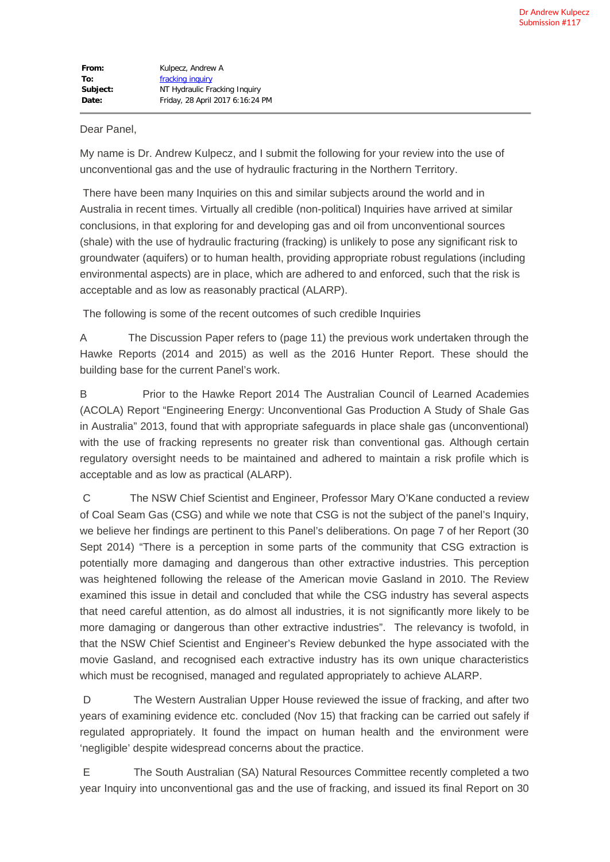## Dear Panel,

My name is Dr. Andrew Kulpecz, and I submit the following for your review into the use of unconventional gas and the use of hydraulic fracturing in the Northern Territory.

There have been many Inquiries on this and similar subjects around the world and in Australia in recent times. Virtually all credible (non-political) Inquiries have arrived at similar conclusions, in that exploring for and developing gas and oil from unconventional sources (shale) with the use of hydraulic fracturing (fracking) is unlikely to pose any significant risk to groundwater (aquifers) or to human health, providing appropriate robust regulations (including environmental aspects) are in place, which are adhered to and enforced, such that the risk is acceptable and as low as reasonably practical (ALARP).

The following is some of the recent outcomes of such credible Inquiries

A The Discussion Paper refers to (page 11) the previous work undertaken through the Hawke Reports (2014 and 2015) as well as the 2016 Hunter Report. These should the building base for the current Panel's work.

B Prior to the Hawke Report 2014 The Australian Council of Learned Academies (ACOLA) Report "Engineering Energy: Unconventional Gas Production A Study of Shale Gas in Australia" 2013, found that with appropriate safeguards in place shale gas (unconventional) with the use of fracking represents no greater risk than conventional gas. Although certain regulatory oversight needs to be maintained and adhered to maintain a risk profile which is acceptable and as low as practical (ALARP).

C The NSW Chief Scientist and Engineer, Professor Mary O'Kane conducted a review of Coal Seam Gas (CSG) and while we note that CSG is not the subject of the panel's Inquiry, we believe her findings are pertinent to this Panel's deliberations. On page 7 of her Report (30 Sept 2014) "There is a perception in some parts of the community that CSG extraction is potentially more damaging and dangerous than other extractive industries. This perception was heightened following the release of the American movie Gasland in 2010. The Review examined this issue in detail and concluded that while the CSG industry has several aspects that need careful attention, as do almost all industries, it is not significantly more likely to be more damaging or dangerous than other extractive industries". The relevancy is twofold, in that the NSW Chief Scientist and Engineer's Review debunked the hype associated with the movie Gasland, and recognised each extractive industry has its own unique characteristics which must be recognised, managed and regulated appropriately to achieve ALARP.

D The Western Australian Upper House reviewed the issue of fracking, and after two years of examining evidence etc. concluded (Nov 15) that fracking can be carried out safely if regulated appropriately. It found the impact on human health and the environment were 'negligible' despite widespread concerns about the practice.

E The South Australian (SA) Natural Resources Committee recently completed a two year Inquiry into unconventional gas and the use of fracking, and issued its final Report on 30